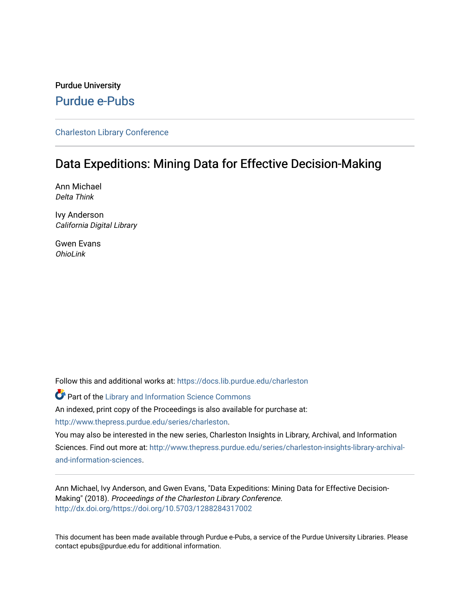## Purdue University [Purdue e-Pubs](https://docs.lib.purdue.edu/)

[Charleston Library Conference](https://docs.lib.purdue.edu/charleston) 

## Data Expeditions: Mining Data for Effective Decision-Making

Ann Michael Delta Think

Ivy Anderson California Digital Library

Gwen Evans OhioLink

Follow this and additional works at: [https://docs.lib.purdue.edu/charleston](https://docs.lib.purdue.edu/charleston?utm_source=docs.lib.purdue.edu%2Fcharleston%2F2018%2Fplenarysessions%2F3&utm_medium=PDF&utm_campaign=PDFCoverPages) 

Part of the [Library and Information Science Commons](http://network.bepress.com/hgg/discipline/1018?utm_source=docs.lib.purdue.edu%2Fcharleston%2F2018%2Fplenarysessions%2F3&utm_medium=PDF&utm_campaign=PDFCoverPages)  An indexed, print copy of the Proceedings is also available for purchase at: [http://www.thepress.purdue.edu/series/charleston.](http://www.thepress.purdue.edu/series/charleston)

You may also be interested in the new series, Charleston Insights in Library, Archival, and Information Sciences. Find out more at: [http://www.thepress.purdue.edu/series/charleston-insights-library-archival](http://www.thepress.purdue.edu/series/charleston-insights-library-archival-and-information-sciences)[and-information-sciences](http://www.thepress.purdue.edu/series/charleston-insights-library-archival-and-information-sciences).

Ann Michael, Ivy Anderson, and Gwen Evans, "Data Expeditions: Mining Data for Effective Decision-Making" (2018). Proceedings of the Charleston Library Conference. <http://dx.doi.org/https://doi.org/10.5703/1288284317002>

This document has been made available through Purdue e-Pubs, a service of the Purdue University Libraries. Please contact epubs@purdue.edu for additional information.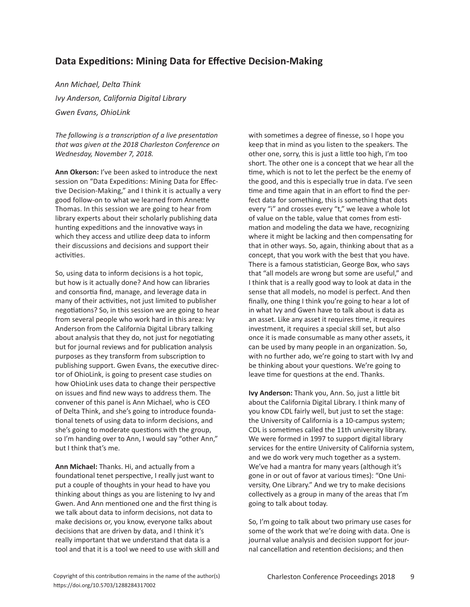## **Data Expeditions: Mining Data for Effective Decision-Making**

*Ann Michael, Delta Think Ivy Anderson, California Digital Library Gwen Evans, OhioLink*

*The following is a transcription of a live presentation that was given at the 2018 Charleston Conference on Wednesday, November 7, 2018.*

**Ann Okerson:** I've been asked to introduce the next session on "Data Expeditions: Mining Data for Effective Decision-Making," and I think it is actually a very good follow-on to what we learned from Annette Thomas. In this session we are going to hear from library experts about their scholarly publishing data hunting expeditions and the innovative ways in which they access and utilize deep data to inform their discussions and decisions and support their activities.

So, using data to inform decisions is a hot topic, but how is it actually done? And how can libraries and consortia find, manage, and leverage data in many of their activities, not just limited to publisher negotiations? So, in this session we are going to hear from several people who work hard in this area: Ivy Anderson from the California Digital Library talking about analysis that they do, not just for negotiating but for journal reviews and for publication analysis purposes as they transform from subscription to publishing support. Gwen Evans, the executive director of OhioLink, is going to present case studies on how OhioLink uses data to change their perspective on issues and find new ways to address them. The convener of this panel is Ann Michael, who is CEO of Delta Think, and she's going to introduce foundational tenets of using data to inform decisions, and she's going to moderate questions with the group, so I'm handing over to Ann, I would say "other Ann," but I think that's me.

**Ann Michael:** Thanks. Hi, and actually from a foundational tenet perspective, I really just want to put a couple of thoughts in your head to have you thinking about things as you are listening to Ivy and Gwen. And Ann mentioned one and the first thing is we talk about data to inform decisions, not data to make decisions or, you know, everyone talks about decisions that are driven by data, and I think it's really important that we understand that data is a tool and that it is a tool we need to use with skill and with sometimes a degree of finesse, so I hope you keep that in mind as you listen to the speakers. The other one, sorry, this is just a little too high, I'm too short. The other one is a concept that we hear all the time, which is not to let the perfect be the enemy of the good, and this is especially true in data. I've seen time and time again that in an effort to find the perfect data for something, this is something that dots every "i" and crosses every "t," we leave a whole lot of value on the table, value that comes from estimation and modeling the data we have, recognizing where it might be lacking and then compensating for that in other ways. So, again, thinking about that as a concept, that you work with the best that you have. There is a famous statistician, George Box, who says that "all models are wrong but some are useful," and I think that is a really good way to look at data in the sense that all models, no model is perfect. And then finally, one thing I think you're going to hear a lot of in what Ivy and Gwen have to talk about is data as an asset. Like any asset it requires time, it requires investment, it requires a special skill set, but also once it is made consumable as many other assets, it can be used by many people in an organization. So, with no further ado, we're going to start with Ivy and be thinking about your questions. We're going to leave time for questions at the end. Thanks.

**Ivy Anderson:** Thank you, Ann. So, just a little bit about the California Digital Library. I think many of you know CDL fairly well, but just to set the stage: the University of California is a 10-campus system; CDL is sometimes called the 11th university library. We were formed in 1997 to support digital library services for the entire University of California system, and we do work very much together as a system. We've had a mantra for many years (although it's gone in or out of favor at various times): "One University, One Library." And we try to make decisions collectively as a group in many of the areas that I'm going to talk about today.

So, I'm going to talk about two primary use cases for some of the work that we're doing with data. One is journal value analysis and decision support for journal cancellation and retention decisions; and then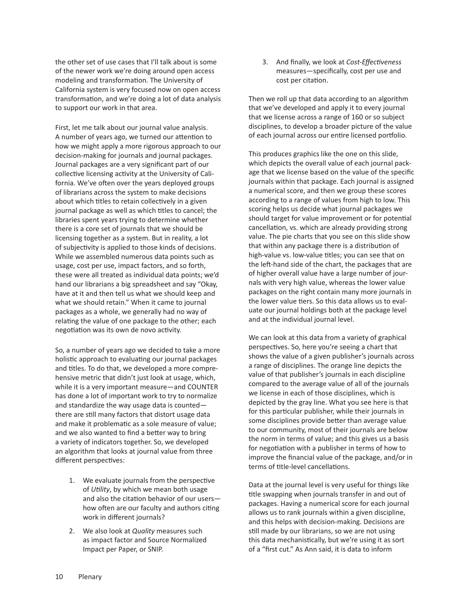the other set of use cases that I'll talk about is some of the newer work we're doing around open access modeling and transformation. The University of California system is very focused now on open access transformation, and we're doing a lot of data analysis to support our work in that area.

First, let me talk about our journal value analysis. A number of years ago, we turned our attention to how we might apply a more rigorous approach to our decision-making for journals and journal packages. Journal packages are a very significant part of our collective licensing activity at the University of California. We've often over the years deployed groups of librarians across the system to make decisions about which titles to retain collectively in a given journal package as well as which titles to cancel; the libraries spent years trying to determine whether there is a core set of journals that we should be licensing together as a system. But in reality, a lot of subjectivity is applied to those kinds of decisions. While we assembled numerous data points such as usage, cost per use, impact factors, and so forth, these were all treated as individual data points; we'd hand our librarians a big spreadsheet and say "Okay, have at it and then tell us what we should keep and what we should retain." When it came to journal packages as a whole, we generally had no way of relating the value of one package to the other; each negotiation was its own de novo activity.

So, a number of years ago we decided to take a more holistic approach to evaluating our journal packages and titles. To do that, we developed a more comprehensive metric that didn't just look at usage, which, while it is a very important measure—and COUNTER has done a lot of important work to try to normalize and standardize the way usage data is counted there are still many factors that distort usage data and make it problematic as a sole measure of value; and we also wanted to find a better way to bring a variety of indicators together. So, we developed an algorithm that looks at journal value from three different perspectives:

- 1. We evaluate journals from the perspective of *Utility*, by which we mean both usage and also the citation behavior of our users how often are our faculty and authors citing work in different journals?
- 2. We also look at *Quality* measures such as impact factor and Source Normalized Impact per Paper, or SNIP.

3. And finally, we look at *Cost-Effectiveness* measures—specifically, cost per use and cost per citation.

Then we roll up that data according to an algorithm that we've developed and apply it to every journal that we license across a range of 160 or so subject disciplines, to develop a broader picture of the value of each journal across our entire licensed portfolio.

This produces graphics like the one on this slide, which depicts the overall value of each journal package that we license based on the value of the specific journals within that package. Each journal is assigned a numerical score, and then we group these scores according to a range of values from high to low. This scoring helps us decide what journal packages we should target for value improvement or for potential cancellation, vs. which are already providing strong value. The pie charts that you see on this slide show that within any package there is a distribution of high-value vs. low-value titles; you can see that on the left-hand side of the chart, the packages that are of higher overall value have a large number of journals with very high value, whereas the lower value packages on the right contain many more journals in the lower value tiers. So this data allows us to evaluate our journal holdings both at the package level and at the individual journal level.

We can look at this data from a variety of graphical perspectives. So, here you're seeing a chart that shows the value of a given publisher's journals across a range of disciplines. The orange line depicts the value of that publisher's journals in each discipline compared to the average value of all of the journals we license in each of those disciplines, which is depicted by the gray line. What you see here is that for this particular publisher, while their journals in some disciplines provide better than average value to our community, most of their journals are below the norm in terms of value; and this gives us a basis for negotiation with a publisher in terms of how to improve the financial value of the package, and/or in terms of title-level cancellations.

Data at the journal level is very useful for things like title swapping when journals transfer in and out of packages. Having a numerical score for each journal allows us to rank journals within a given discipline, and this helps with decision-making. Decisions are still made by our librarians, so we are not using this data mechanistically, but we're using it as sort of a "first cut." As Ann said, it is data to inform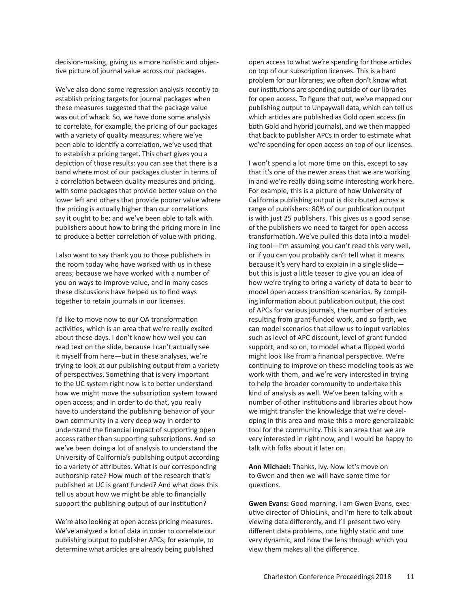decision-making, giving us a more holistic and objective picture of journal value across our packages.

We've also done some regression analysis recently to establish pricing targets for journal packages when these measures suggested that the package value was out of whack. So, we have done some analysis to correlate, for example, the pricing of our packages with a variety of quality measures; where we've been able to identify a correlation, we've used that to establish a pricing target. This chart gives you a depiction of those results: you can see that there is a band where most of our packages cluster in terms of a correlation between quality measures and pricing, with some packages that provide better value on the lower left and others that provide poorer value where the pricing is actually higher than our correlations say it ought to be; and we've been able to talk with publishers about how to bring the pricing more in line to produce a better correlation of value with pricing.

I also want to say thank you to those publishers in the room today who have worked with us in these areas; because we have worked with a number of you on ways to improve value, and in many cases these discussions have helped us to find ways together to retain journals in our licenses.

I'd like to move now to our OA transformation activities, which is an area that we're really excited about these days. I don't know how well you can read text on the slide, because I can't actually see it myself from here—but in these analyses, we're trying to look at our publishing output from a variety of perspectives. Something that is very important to the UC system right now is to better understand how we might move the subscription system toward open access; and in order to do that, you really have to understand the publishing behavior of your own community in a very deep way in order to understand the financial impact of supporting open access rather than supporting subscriptions. And so we've been doing a lot of analysis to understand the University of California's publishing output according to a variety of attributes. What is our corresponding authorship rate? How much of the research that's published at UC is grant funded? And what does this tell us about how we might be able to financially support the publishing output of our institution?

We're also looking at open access pricing measures. We've analyzed a lot of data in order to correlate our publishing output to publisher APCs; for example, to determine what articles are already being published

open access to what we're spending for those articles on top of our subscription licenses. This is a hard problem for our libraries; we often don't know what our institutions are spending outside of our libraries for open access. To figure that out, we've mapped our publishing output to Unpaywall data, which can tell us which articles are published as Gold open access (in both Gold and hybrid journals), and we then mapped that back to publisher APCs in order to estimate what we're spending for open access on top of our licenses.

I won't spend a lot more time on this, except to say that it's one of the newer areas that we are working in and we're really doing some interesting work here. For example, this is a picture of how University of California publishing output is distributed across a range of publishers: 80% of our publication output is with just 25 publishers. This gives us a good sense of the publishers we need to target for open access transformation. We've pulled this data into a modeling tool—I'm assuming you can't read this very well, or if you can you probably can't tell what it means because it's very hard to explain in a single slide but this is just a little teaser to give you an idea of how we're trying to bring a variety of data to bear to model open access transition scenarios. By compiling information about publication output, the cost of APCs for various journals, the number of articles resulting from grant-funded work, and so forth, we can model scenarios that allow us to input variables such as level of APC discount, level of grant-funded support, and so on, to model what a flipped world might look like from a financial perspective. We're continuing to improve on these modeling tools as we work with them, and we're very interested in trying to help the broader community to undertake this kind of analysis as well. We've been talking with a number of other institutions and libraries about how we might transfer the knowledge that we're developing in this area and make this a more generalizable tool for the community. This is an area that we are very interested in right now, and I would be happy to talk with folks about it later on.

**Ann Michael:** Thanks, Ivy. Now let's move on to Gwen and then we will have some time for questions.

**Gwen Evans:** Good morning. I am Gwen Evans, executive director of OhioLink, and I'm here to talk about viewing data differently, and I'll present two very different data problems, one highly static and one very dynamic, and how the lens through which you view them makes all the difference.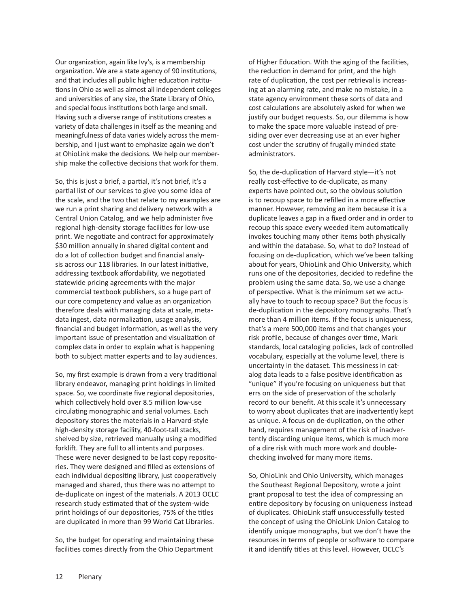Our organization, again like Ivy's, is a membership organization. We are a state agency of 90 institutions, and that includes all public higher education institutions in Ohio as well as almost all independent colleges and universities of any size, the State Library of Ohio, and special focus institutions both large and small. Having such a diverse range of institutions creates a variety of data challenges in itself as the meaning and meaningfulness of data varies widely across the membership, and I just want to emphasize again we don't at OhioLink make the decisions. We help our membership make the collective decisions that work for them.

So, this is just a brief, a partial, it's not brief, it's a partial list of our services to give you some idea of the scale, and the two that relate to my examples are we run a print sharing and delivery network with a Central Union Catalog, and we help administer five regional high-density storage facilities for low-use print. We negotiate and contract for approximately \$30 million annually in shared digital content and do a lot of collection budget and financial analysis across our 118 libraries. In our latest initiative, addressing textbook affordability, we negotiated statewide pricing agreements with the major commercial textbook publishers, so a huge part of our core competency and value as an organization therefore deals with managing data at scale, metadata ingest, data normalization, usage analysis, financial and budget information, as well as the very important issue of presentation and visualization of complex data in order to explain what is happening both to subject matter experts and to lay audiences.

So, my first example is drawn from a very traditional library endeavor, managing print holdings in limited space. So, we coordinate five regional depositories, which collectively hold over 8.5 million low-use circulating monographic and serial volumes. Each depository stores the materials in a Harvard-style high-density storage facility, 40-foot-tall stacks, shelved by size, retrieved manually using a modified forklift. They are full to all intents and purposes. These were never designed to be last copy repositories. They were designed and filled as extensions of each individual depositing library, just cooperatively managed and shared, thus there was no attempt to de-duplicate on ingest of the materials. A 2013 OCLC research study estimated that of the system-wide print holdings of our depositories, 75% of the titles are duplicated in more than 99 World Cat Libraries.

So, the budget for operating and maintaining these facilities comes directly from the Ohio Department

of Higher Education. With the aging of the facilities, the reduction in demand for print, and the high rate of duplication, the cost per retrieval is increasing at an alarming rate, and make no mistake, in a state agency environment these sorts of data and cost calculations are absolutely asked for when we justify our budget requests. So, our dilemma is how to make the space more valuable instead of presiding over ever decreasing use at an ever higher cost under the scrutiny of frugally minded state administrators.

So, the de-duplication of Harvard style—it's not really cost-effective to de-duplicate, as many experts have pointed out, so the obvious solution is to recoup space to be refilled in a more effective manner. However, removing an item because it is a duplicate leaves a gap in a fixed order and in order to recoup this space every weeded item automatically invokes touching many other items both physically and within the database. So, what to do? Instead of focusing on de-duplication, which we've been talking about for years, OhioLink and Ohio University, which runs one of the depositories, decided to redefine the problem using the same data. So, we use a change of perspective. What is the minimum set we actually have to touch to recoup space? But the focus is de-duplication in the depository monographs. That's more than 4 million items. If the focus is uniqueness, that's a mere 500,000 items and that changes your risk profile, because of changes over time, Mark standards, local cataloging policies, lack of controlled vocabulary, especially at the volume level, there is uncertainty in the dataset. This messiness in catalog data leads to a false positive identification as "unique" if you're focusing on uniqueness but that errs on the side of preservation of the scholarly record to our benefit. At this scale it's unnecessary to worry about duplicates that are inadvertently kept as unique. A focus on de-duplication, on the other hand, requires management of the risk of inadvertently discarding unique items, which is much more of a dire risk with much more work and double-checking involved for many more items.

So, OhioLink and Ohio University, which manages the Southeast Regional Depository, wrote a joint grant proposal to test the idea of compressing an entire depository by focusing on uniqueness instead of duplicates. OhioLink staff unsuccessfully tested the concept of using the OhioLink Union Catalog to identify unique monographs, but we don't have the resources in terms of people or software to compare it and identify titles at this level. However, OCLC's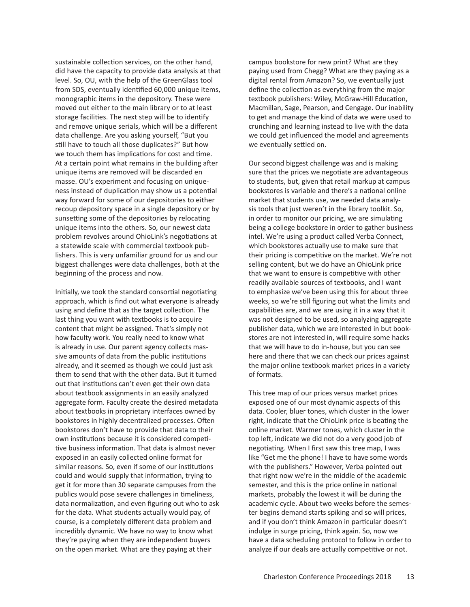sustainable collection services, on the other hand, did have the capacity to provide data analysis at that level. So, OU, with the help of the GreenGlass tool from SDS, eventually identified 60,000 unique items, monographic items in the depository. These were moved out either to the main library or to at least storage facilities. The next step will be to identify and remove unique serials, which will be a different data challenge. Are you asking yourself, "But you still have to touch all those duplicates?" But how we touch them has implications for cost and time. At a certain point what remains in the building after unique items are removed will be discarded en masse. OU's experiment and focusing on uniqueness instead of duplication may show us a potential way forward for some of our depositories to either recoup depository space in a single depository or by sunsetting some of the depositories by relocating unique items into the others. So, our newest data problem revolves around OhioLink's negotiations at a statewide scale with commercial textbook publishers. This is very unfamiliar ground for us and our biggest challenges were data challenges, both at the beginning of the process and now.

Initially, we took the standard consortial negotiating approach, which is find out what everyone is already using and define that as the target collection. The last thing you want with textbooks is to acquire content that might be assigned. That's simply not how faculty work. You really need to know what is already in use. Our parent agency collects massive amounts of data from the public institutions already, and it seemed as though we could just ask them to send that with the other data. But it turned out that institutions can't even get their own data about textbook assignments in an easily analyzed aggregate form. Faculty create the desired metadata about textbooks in proprietary interfaces owned by bookstores in highly decentralized processes. Often bookstores don't have to provide that data to their own institutions because it is considered competitive business information. That data is almost never exposed in an easily collected online format for similar reasons. So, even if some of our institutions could and would supply that information, trying to get it for more than 30 separate campuses from the publics would pose severe challenges in timeliness, data normalization, and even figuring out who to ask for the data. What students actually would pay, of course, is a completely different data problem and incredibly dynamic. We have no way to know what they're paying when they are independent buyers on the open market. What are they paying at their

campus bookstore for new print? What are they paying used from Chegg? What are they paying as a digital rental from Amazon? So, we eventually just define the collection as everything from the major textbook publishers: Wiley, McGraw-Hill Education, Macmillan, Sage, Pearson, and Cengage. Our inability to get and manage the kind of data we were used to crunching and learning instead to live with the data we could get influenced the model and agreements we eventually settled on.

Our second biggest challenge was and is making sure that the prices we negotiate are advantageous to students, but, given that retail markup at campus bookstores is variable and there's a national online market that students use, we needed data analysis tools that just weren't in the library toolkit. So, in order to monitor our pricing, we are simulating being a college bookstore in order to gather business intel. We're using a product called Verba Connect, which bookstores actually use to make sure that their pricing is competitive on the market. We're not selling content, but we do have an OhioLink price that we want to ensure is competitive with other readily available sources of textbooks, and I want to emphasize we've been using this for about three weeks, so we're still figuring out what the limits and capabilities are, and we are using it in a way that it was not designed to be used, so analyzing aggregate publisher data, which we are interested in but bookstores are not interested in, will require some hacks that we will have to do in-house, but you can see here and there that we can check our prices against the major online textbook market prices in a variety of formats.

This tree map of our prices versus market prices exposed one of our most dynamic aspects of this data. Cooler, bluer tones, which cluster in the lower right, indicate that the OhioLink price is beating the online market. Warmer tones, which cluster in the top left, indicate we did not do a very good job of negotiating. When I first saw this tree map, I was like "Get me the phone! I have to have some words with the publishers." However, Verba pointed out that right now we're in the middle of the academic semester, and this is the price online in national markets, probably the lowest it will be during the academic cycle. About two weeks before the semester begins demand starts spiking and so will prices, and if you don't think Amazon in particular doesn't indulge in surge pricing, think again. So, now we have a data scheduling protocol to follow in order to analyze if our deals are actually competitive or not.